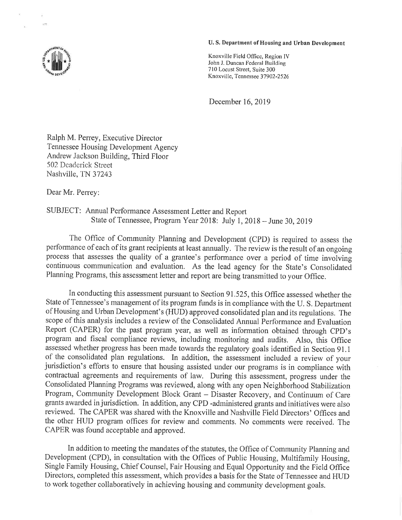## U. S. Department of Housing and Urban Development

Knoxville Field Office, Region IV John J. Duncan Federal Building 710 Locust Street, Suite 300 Knoxville, Tennessee 37902-2526

December 16,2019

Ralph M. Perrey, Executive Director Tennessee Housing Development Agency Andrew Jackson Building, Third Floor 502 Deaderick Street Nashville, TN 37243

Dear Mr. Perrey:

SUBJECT: Annual Performance Assessment Letter and Report State of Tennessee, Program Year 20lB: July l, 2018 - June 30, 2019

The Office of Community Planning and Development (CPD) is required to assess the perfotmance of each of its grant recipients at least annually. The review is the result of an ongoing process that assesses the quality of a grantee's performance over a period of time involving continuous communication and evaluation. As the lead agency for the State's Consolidated Planning Programs, this assessment letter and report are being transmitted to your Office.

In conducting this assessment pursuant to Section 91.525, this Office assessed whether the State of Tennessee's management of its program funds is in compliance with the U. S. Department of Housing and Urban Development's (HUD) approved consolidated plan and its regulations. The scope of this analysis includes a review of the Consolidated Annual Performance and Evaluation Report (CAPER) for the past program year, as well as information obtained through CpD's program and fiscal compliance reviews, including monitoring and audits. Also, this Office assessed whether progress has been made towards the regulatory goals identified in Section 91.1 of the consolidated plan regulations. In addition, the assessment included a review of your jurisdiction's efforts to ensure that housing assisted under our programs is in compliance with contractual agreements and requirements of law. During this assessment, progress under the Consolidated Planning Programs was reviewed, along with any open Neighborhood Stabilization Program, Community Development Block Grant - Disaster Recovery, and Continuum of Care grants awarded in jurisdiction. In addition, any CPD -administered grants and initiatives were also reviewed. The CAPER was shared with the Knoxville and Nashville Field Directors' Offices and the other HUD program offices for review and comments. No comments were received. The CAPER was found acceptable and approved.

In addition to meeting the mandates of the statutes, the Office of Community Planning and Development (CPD), in consultation with the Offices of Public Housing, Multifamily Housing, Single Family Housing, Chief Counsel, Fair Housing and Equal Opportunity and the Field Office Directors, completed this assessment, which provides a basis for the State of Tennessee and HUD to work together collaboratively in achieving housing and community development goals.

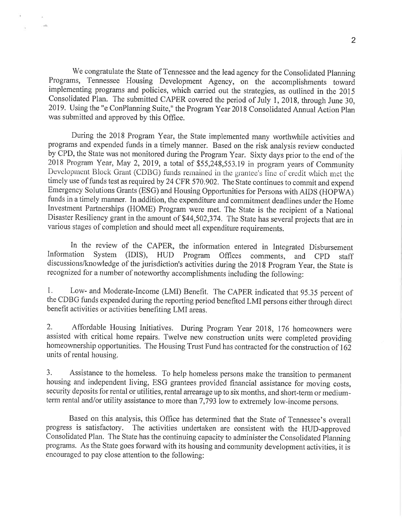We congratulate the State of Tennessee and the lead agency for the Consolidated Planning Programs, Tennessee Housing Development Agency, on the accomplishments toward implementing programs and policies, which carried out the strategies, as outlined in the <sup>2015</sup> Consolidated Plan. The submitted CAPER covered the period of July 1, 2018, through June 30, 2019. Using the "e ConPlanning Suite," the Program Year 2018 Consolidated Annual Action plan was submitted and approved by this Office.

During the 2018 Program Year, the State implemented many worthwhile activities and programs and expended funds in a timely manner. Based on the risk analysis review conducted by CPD, the State was not monitored during the Program Year. Sixty days prior to the end of the 2018 Program Year, May 2, 2019, a total of  $$55,248,553.19$  in program years of Community Development Block Grant (CDBG) funds remained in the grantee's line of credit which met the timely use of funds test as required by 24 CFR 570.902. The State continues to commit and expend Emergency Solutions Grants (ESG) and Housing Opporfunities for Persons with AIDS (HOPWA) funds in a timely manner. In addition, the expenditure and commitment deadlines under the Home Investment Partnerships (HOME) Program were met. The State is the recipient of a National Disaster Resiliency grant in the amount of \$44,502,374. The State has several projects that are in various stages of completion and should meet all expenditure requirements.

In the review of the CAPER, the information entered in Integrated Disbursement<br>Information System (IDIS). HUD Program Offices comments and CPD steff System (IDIS), HUD Program Offices comments, and CPD staff discussions/knowledge of the jurisdiction's activities during the 2018 Program Year, the State is recognized for a number of noteworthy accomplishments including the following:

1. Low- and Moderate-Income (LMI) Benefit. The CAPER indicated that 95.35 percent of the CDBG funds expended during the reporting period benefited LMI persons either through direct benefit activities or activities benefiting LMI areas.

2. Affordable Housing Initiatives. During Program Year 2018, 176 homeowners were assisted with critical home repairs. Twelve new construction units were completed providing homeownership opportunities. The Housing Trust Fund has contracted for the construction of 162 units of rental housing.

3. Assistance to the homeless. To help homeless persons make the transition to permanent housing and independent living, ESG grantees provided financial assistance for moving costs, security deposits for rental or utilities, rental arrearage up to six months, and short-term or mediumterm rental and/or utility assistance to more than  $7,793$  low to extremely low-income persons.

Based on this analysis, this Office has determined that the State of Tennessee's overall progress is satisfactory. The activities undertaken are consistent with the HUD-approved Consolidated Plan. The State has the continuing capacity to administer the Consolidated Planning programs. As the State goes forward with its housing and community development activities, it is encouraged to pay close attention to the following: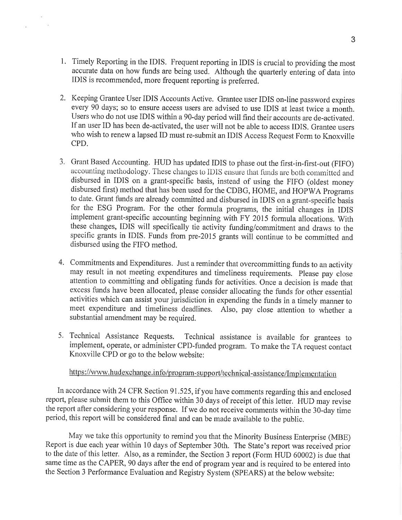1. Timely Reporting in the IDIS. Frequent reporting in IDIS is crucial to providing the most accurate data on how funds are being used. Although the quarterly entering of data into IDIS is recommended, more frequent reporting is preferred.

 $\mathcal{V}_\mathbf{d}^{\mathcal{G}}$ 

n.

- 2. Keeping Grantee User IDIS Accounts Active. Grantee user IDIS on-line password expires every 90 days; so to ensure access users are advised to use IDIS at least twice a month. Users who do not use IDIS within a 90-day period will find their accounts are de-activated. If an user ID has been de-activated, the user will not be able to access IDIS. Grantee users who wish to renew a lapsed ID must re-submit an IDIS Access Request Form to Knoxville CPD.
- 3. Grant Based Accounting. HUD has updated IDIS to phase out the first-in-first-out (FIFO) accounting methodology. These changes to IDIS ensure that funds are both committed and disbursed in IDIS on a grant-specific basis, instead of using the FIFO (oldest money disbursed first) method that has been used for the CDBG, HOME, and HOPWA Programi to date. Grant funds are already committed and disbursed in IDIS on a grant-specific basis for the ESG Program. For the other formula programs, the initial changes in IDIS implement grant-specific accounting beginning with FY 2015 formula allocations. With these changes, IDIS will specifically tie activity funding/commitment and draws to the specific grants in IDIS. Funds from pre-2015 grants will continue to be committed and disbursed using the FIFO method.
- 4. Commitments and Expenditures. Just a reminder that overcommitting funds to an activity may result in not meeting expenditures and timeliness requirements. Please pay close attention to committing and obligating funds for activities. Once a decision is made that excess funds have been allocated, please consider allocating the funds for other essential activities which can assist your jurisdiction in expending the funds in a timely manner to meet expenditure and timeliness deadlines, Also, pay close attention to whether <sup>a</sup> substantial amendment may be required.
- Technical Assistance Requests. Technical assistance is available for grantees to 5implement, operate, or administer CPD-funded program. To make the TA request contact Knoxville CPD or go to the below website:

## https://www.hudexchange.info/program-support/technical-assistance/Implementation

In accordance with 24 CFR Section 91.525, if you have comments regarding this and enclosed report, please submit them to this Office within 30 days of receipt of this letter. HUD may revise the report after considering your response. If we do not receive comments within the 30-day time period, this report will be considered final and can be made available to the public.

May we take this opportunity to remind you that the Minority Business Enterprise (MBE) Report is due each year within 10 days of September 30th. The State's report was received prior to the date of this letter. Also, as a reminder, the Section 3 report (Form HUD 60002) is due that same time as the CAPER, 90 days after the end of program year and is required to be entered into the Section 3 Performance Evaluation and Registry System (SPEARS) at the below website: